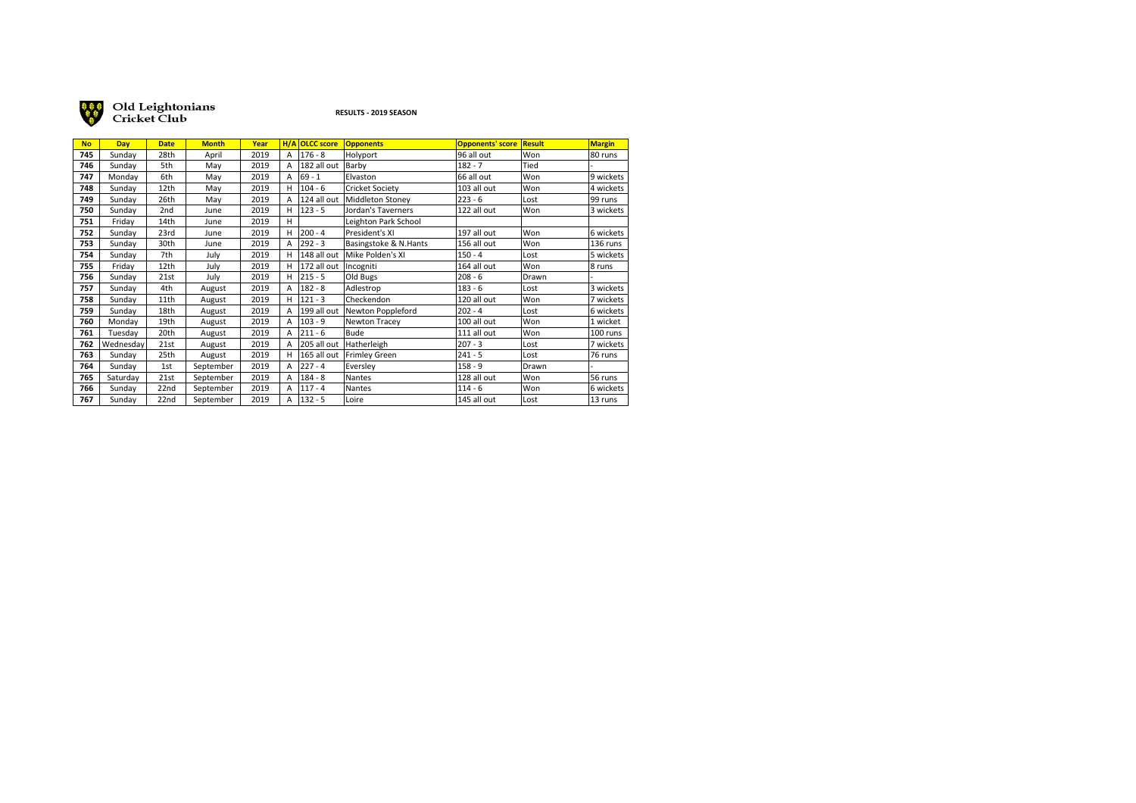

Old Leightonians<br>Cricket Club

## **RESULTS - 2019 SEASON**

| <b>No</b> | <b>Dav</b> | <b>Date</b>     | <b>Month</b> | Year |   | H/A OLCC score | <b>Opponents</b>      | Opponents' score Result |       | <b>Margin</b> |
|-----------|------------|-----------------|--------------|------|---|----------------|-----------------------|-------------------------|-------|---------------|
| 745       | Sunday     | 28th            | April        | 2019 | A | $176 - 8$      | Holyport              | 96 all out              | Won   | 80 runs       |
| 746       | Sunday     | 5th             | May          | 2019 | А | 182 all out    | Barby                 | $182 - 7$               | Tied  |               |
| 747       | Monday     | 6th             | May          | 2019 | А | $69 - 1$       | Elvaston              | 66 all out              | Won   | 9 wickets     |
| 748       | Sunday     | 12th            | May          | 2019 | н | $104 - 6$      | Cricket Society       | 103 all out             | Won   | 4 wickets     |
| 749       | Sunday     | 26th            | May          | 2019 | А | 124 all out    | Middleton Stoney      | $223 - 6$               | Lost  | 99 runs       |
| 750       | Sunday     | 2 <sub>nd</sub> | June         | 2019 | н | $123 - 5$      | Jordan's Taverners    | 122 all out             | Won   | 3 wickets     |
| 751       | Friday     | 14th            | June         | 2019 | н |                | Leighton Park School  |                         |       |               |
| 752       | Sunday     | 23rd            | June         | 2019 | н | 200 - 4        | President's XI        | 197 all out             | Won   | 6 wickets     |
| 753       | Sunday     | 30th            | June         | 2019 | А | $292 - 3$      | Basingstoke & N.Hants | 156 all out             | Won   | 136 runs      |
| 754       | Sunday     | 7th             | July         | 2019 | н | 148 all out    | Mike Polden's XI      | $150 - 4$               | Lost  | 5 wickets     |
| 755       | Friday     | 12th            | July         | 2019 | н | 172 all out    | Incogniti             | 164 all out             | Won   | 8 runs        |
| 756       | Sunday     | 21st            | July         | 2019 | н | $215 - 5$      | Old Bugs              | $208 - 6$               | Drawn |               |
| 757       | Sunday     | 4th             | August       | 2019 | А | $182 - 8$      | Adlestrop             | $183 - 6$               | Lost  | 3 wickets     |
| 758       | Sunday     | 11th            | August       | 2019 | н | 121 - 3        | Checkendon            | 120 all out             | Won   | 7 wickets     |
| 759       | Sunday     | 18th            | August       | 2019 | А | 199 all out    | Newton Poppleford     | $202 - 4$               | Lost  | 6 wickets     |
| 760       | Monday     | 19th            | August       | 2019 | А | 103 - 9        | Newton Tracey         | 100 all out             | Won   | 1 wicket      |
| 761       | Tuesday    | 20th            | August       | 2019 | А | $211 - 6$      | Bude                  | 111 all out             | Won   | 100 runs      |
| 762       | Wednesday  | 21st            | August       | 2019 | А | 205 all out    | Hatherleigh           | $207 - 3$               | Lost  | 7 wickets     |
| 763       | Sunday     | 25th            | August       | 2019 | н | 165 all out    | Frimley Green         | $241 - 5$               | Lost  | 76 runs       |
| 764       | Sunday     | 1st             | September    | 2019 | А | $227 - 4$      | Eversley              | $158 - 9$               | Drawn |               |
| 765       | Saturday   | 21st            | September    | 2019 | А | $184 - 8$      | Nantes                | 128 all out             | Won   | 56 runs       |
| 766       | Sunday     | 22nd            | September    | 2019 | А | $117 - 4$      | <b>Nantes</b>         | $114 - 6$               | Won   | 6 wickets     |
| 767       | Sunday     | 22nd            | September    | 2019 | А | $132 - 5$      | Loire                 | 145 all out             | Lost  | 13 runs       |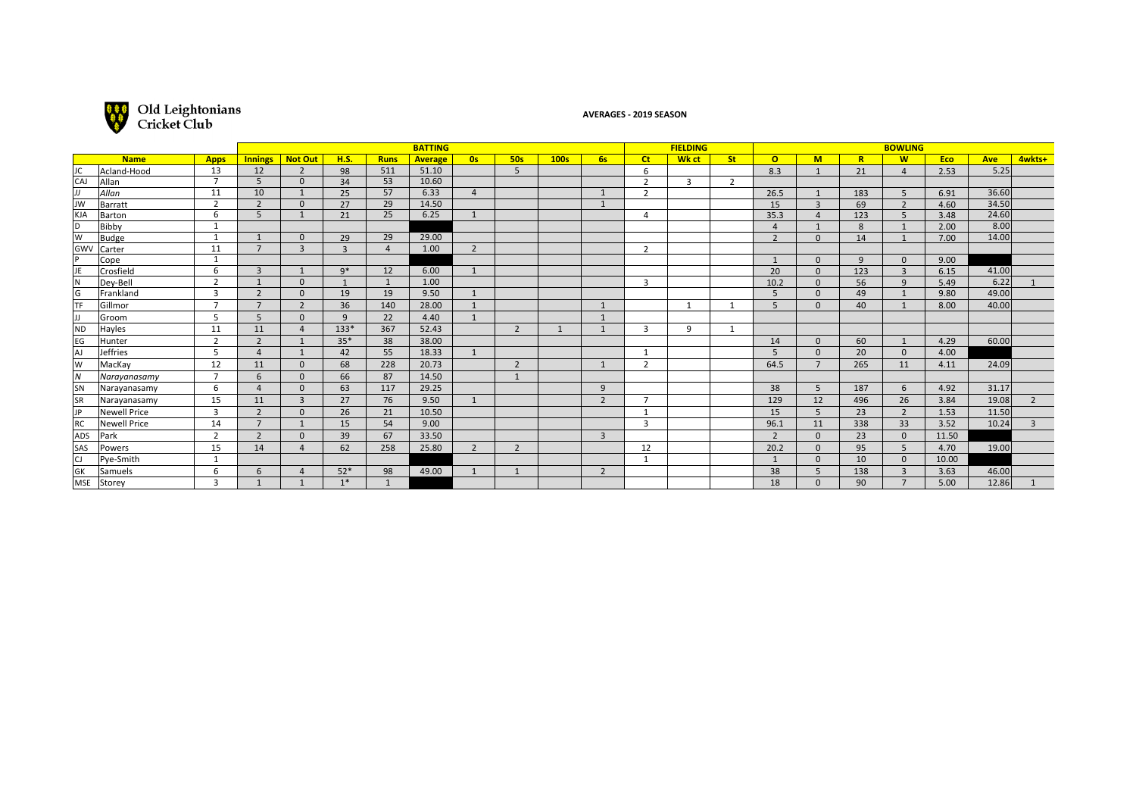

## **AVERAGES - 2019 SEASON**

| <b>BATTING</b> |               |                          |                |                |                |                |                |                |                | <b>FIELDING</b> |                | <b>BOWLING</b>          |       |                |                |                |                |                |            |            |                |
|----------------|---------------|--------------------------|----------------|----------------|----------------|----------------|----------------|----------------|----------------|-----------------|----------------|-------------------------|-------|----------------|----------------|----------------|----------------|----------------|------------|------------|----------------|
|                | <b>Name</b>   | <b>Apps</b>              | <b>Innings</b> | <b>Not Out</b> | <b>H.S.</b>    | <b>Runs</b>    | <b>Average</b> | 0s             | <b>50s</b>     | 100s            | <b>6s</b>      | <b>Ct</b>               | Wk ct | <b>St</b>      | $\Omega$       | M              | $\overline{R}$ | <b>W</b>       | <b>Eco</b> | <b>Ave</b> | 4wkts+         |
| JC             | Acland-Hood   | 13                       | 12             | $\overline{2}$ | 98             | 511            | 51.10          |                | 5              |                 |                | 6                       |       |                | 8.3            | $\mathbf{1}$   | 21             | $\overline{4}$ | 2.53       | 5.25       |                |
| <b>CAJ</b>     | Allan         |                          | 5              | $\Omega$       | 34             | 53             | 10.60          |                |                |                 |                | $\overline{2}$          | 3     | $\overline{2}$ |                |                |                |                |            |            |                |
|                | Allan         | 11                       | 10             | $\mathbf{1}$   | 25             | 57             | 6.33           | $\overline{4}$ |                |                 |                | $\overline{z}$          |       |                | 26.5           | $\overline{1}$ | 183            | 5              | 6.91       | 36.60      |                |
| JW             | Barratt       | $\overline{2}$           | $\overline{2}$ | $\Omega$       | 27             | 29             | 14.50          |                |                |                 |                |                         |       |                | 15             | $\overline{3}$ | 69             | $\overline{2}$ | 4.60       | 34.50      |                |
| KJA            | Barton        | 6                        | 5              |                | 21             | 25             | 6.25           | $\mathbf{1}$   |                |                 |                | $\Delta$                |       |                | 35.3           | $\overline{A}$ | 123            | 5              | 3.48       | 24.60      |                |
| D              | Bibby         | -1                       |                |                |                |                |                |                |                |                 |                |                         |       |                | $\Delta$       |                | 8              |                | 2.00       | 8.00       |                |
| W              | Budge         | $\mathbf{1}$             |                | $\Omega$       | 29             | 29             | 29.00          |                |                |                 |                |                         |       |                | $\overline{z}$ | $\Omega$       | 14             |                | 7.00       | 14.00      |                |
| Gwv            | Carter        | 11                       | $\overline{7}$ | $\overline{3}$ | $\overline{3}$ | $\overline{4}$ | 1.00           | $\overline{2}$ |                |                 |                | $\overline{2}$          |       |                |                |                |                |                |            |            |                |
|                | Cope          | $\mathbf{1}$             |                |                |                |                |                |                |                |                 |                |                         |       |                |                | $\Omega$       | 9              | $\mathbf{0}$   | 9.00       |            |                |
| JE             | Crosfield     | 6                        | $\overline{3}$ |                | $9*$           | 12             | 6.00           | $\overline{1}$ |                |                 |                |                         |       |                | 20             | $\Omega$       | 123            | $\overline{3}$ | 6.15       | 41.00      |                |
|                | Dey-Bell      | $\overline{2}$           |                | $\Omega$       |                | $\mathbf{1}$   | 1.00           |                |                |                 |                | 3                       |       |                | 10.2           | $\mathbf{0}$   | 56             | 9              | 5.49       | 6.22       |                |
| G              | Frankland     | 3                        | $\overline{2}$ | $\Omega$       | 19             | 19             | 9.50           | $\mathbf{1}$   |                |                 |                |                         |       |                | 5              | $\mathbf{0}$   | 49             |                | 9.80       | 49.00      |                |
| <b>TF</b>      | Gillmor       | $\overline{\phantom{a}}$ | $\overline{7}$ | $\overline{2}$ | 36             | 140            | 28.00          | $\overline{1}$ |                |                 |                |                         |       |                | 5              | $\mathbf{0}$   | 40             |                | 8.00       | 40.00      |                |
|                | Groom         | 5                        | 5              | $\Omega$       | 9              | 22             | 4.40           | $\overline{1}$ |                |                 |                |                         |       |                |                |                |                |                |            |            |                |
| <b>ND</b>      | Hayles        | 11                       | 11             | $\overline{4}$ | $133*$         | 367            | 52.43          |                | $\overline{2}$ |                 |                | 3                       | 9     |                |                |                |                |                |            |            |                |
| EG             | <b>Hunter</b> | $\overline{2}$           | $\overline{2}$ |                | $35*$          | 38             | 38.00          |                |                |                 |                |                         |       |                | 14             | $\mathbf{0}$   | 60             | $\mathbf{1}$   | 4.29       | 60.00      |                |
| AJ             | Jeffries      | 5                        | $\overline{4}$ | $\mathbf{1}$   | 42             | 55             | 18.33          | $\mathbf{1}$   |                |                 |                | $\overline{\mathbf{1}}$ |       |                | 5              | $\mathbf{0}$   | 20             | $\mathbf{0}$   | 4.00       |            |                |
| W              | MacKay        | 12                       | 11             | $\mathbf{0}$   | 68             | 228            | 20.73          |                | $\overline{2}$ |                 |                | $\overline{2}$          |       |                | 64.5           | $\overline{7}$ | 265            | 11             | 4.11       | 24.09      |                |
| $\overline{N}$ | Narayanasamy  |                          | 6              | $\Omega$       | 66             | 87             | 14.50          |                | $\overline{1}$ |                 |                |                         |       |                |                |                |                |                |            |            |                |
| <b>SN</b>      | Narayanasamy  | 6                        | $\overline{4}$ | $\Omega$       | 63             | 117            | 29.25          |                |                |                 | 9              |                         |       |                | 38             | 5              | 187            | 6              | 4.92       | 31.17      |                |
| <b>SR</b>      | Narayanasamy  | 15                       | 11             | $\overline{3}$ | 27             | 76             | 9.50           | $\mathbf{1}$   |                |                 | $\overline{2}$ | $\overline{ }$          |       |                | 129            | 12             | 496            | 26             | 3.84       | 19.08      | $\overline{2}$ |
| IP             | Newell Price  | 3                        | $\overline{2}$ | $\Omega$       | 26             | 21             | 10.50          |                |                |                 |                |                         |       |                | 15             | 5              | 23             | $\overline{2}$ | 1.53       | 11.50      |                |
| RC             | Newell Price  | 14                       | $7^{\circ}$    | $\mathbf{1}$   | 15             | 54             | 9.00           |                |                |                 |                | 3                       |       |                | 96.1           | 11             | 338            | 33             | 3.52       | 10.24      | 3              |
| ADS            | Park          | $\overline{2}$           | $\overline{2}$ | $\mathbf{0}$   | 39             | 67             | 33.50          |                |                |                 | $\overline{3}$ |                         |       |                | $\overline{2}$ | $\mathbf{0}$   | 23             | $\mathbf{0}$   | 11.50      |            |                |
| <b>SAS</b>     | Powers        | 15                       | 14             | $\overline{a}$ | 62             | 258            | 25.80          | $\overline{2}$ | $\overline{2}$ |                 |                | 12                      |       |                | 20.2           | $\mathbf{0}$   | 95             | 5              | 4.70       | 19.00      |                |
| CJ             | Pye-Smith     | 1                        |                |                |                |                |                |                |                |                 |                | 1                       |       |                |                | $\mathbf{0}$   | 10             | $\mathbf{0}$   | 10.00      |            |                |
| GK             | Samuels       | 6                        | 6              |                | $52*$          | 98             | 49.00          | $\overline{1}$ | $\mathbf{1}$   |                 | $\overline{2}$ |                         |       |                | 38             | 5              | 138            | $\overline{3}$ | 3.63       | 46.00      |                |
| MSE            | Storey        | 3                        |                |                | $1*$           |                |                |                |                |                 |                |                         |       |                | 18             | $\Omega$       | 90             |                | 5.00       | 12.86      |                |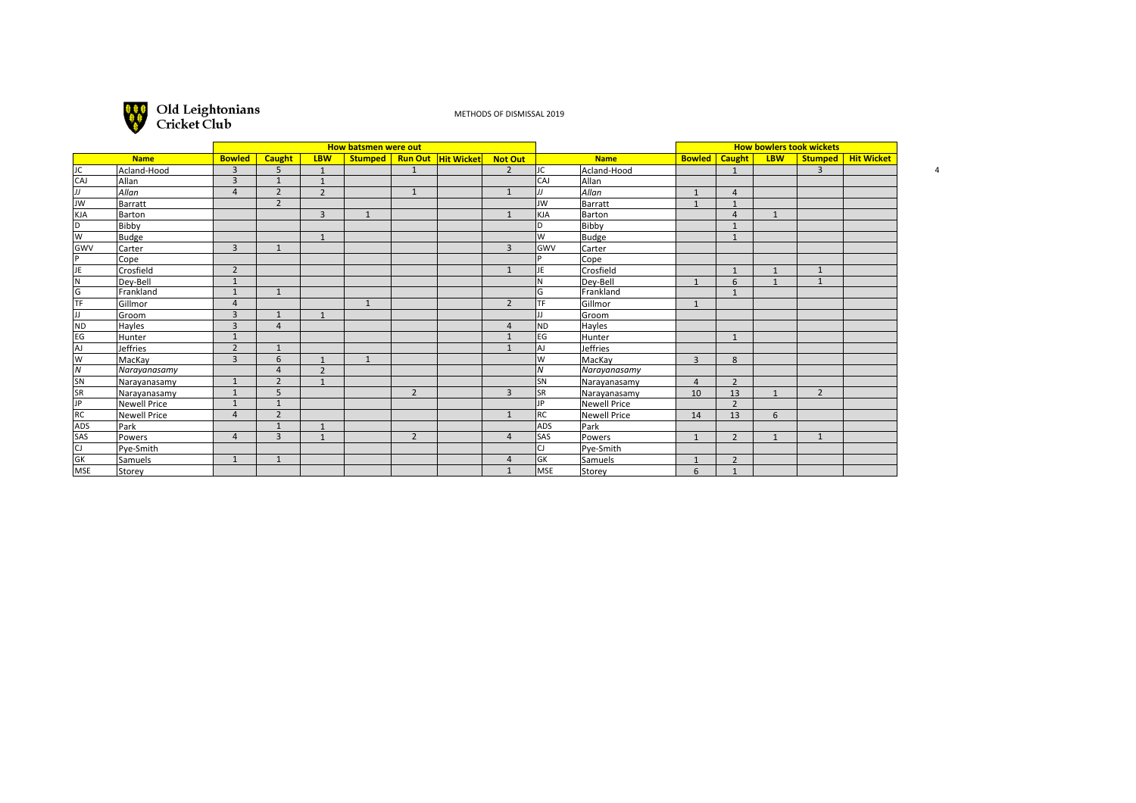

METHODS OF DISMISSAL 2019

|                                    |                     |                |                          |                          | How batsmen were out |                |                                |                | <b>How bowlers took wickets</b> |               |                |                        |                |                |                      |
|------------------------------------|---------------------|----------------|--------------------------|--------------------------|----------------------|----------------|--------------------------------|----------------|---------------------------------|---------------|----------------|------------------------|----------------|----------------|----------------------|
| <b>Name</b>                        |                     | <b>Bowled</b>  | <b>Caught</b>            | <b>LBW</b>               |                      |                | Stumped   Run Out   Hit Wicket | Not Out        |                                 | <b>Name</b>   |                | <b>Bowled</b>   Caught | <b>LBW</b>     |                | Stumped   Hit Wicket |
| JC.                                | Acland-Hood         | $\overline{3}$ | 5                        | $\mathbf{1}$             |                      | $\mathbf{1}$   |                                | $\overline{2}$ | lJC.                            | Acland-Hood   |                | $\mathbf{1}$           |                | $\overline{3}$ |                      |
| CAJ                                | Allan               | 3              | $\overline{1}$           | $\overline{1}$           |                      |                |                                |                | CAJ                             | <b>Allan</b>  |                |                        |                |                |                      |
| IJ                                 | Allan               | $\overline{4}$ | $\overline{2}$           | $\overline{2}$           |                      | $\overline{1}$ |                                |                | IJ                              | Allan         | $\mathbf{1}$   | $\overline{4}$         |                |                |                      |
| Jw                                 | Barratt             |                | $\overline{2}$           |                          |                      |                |                                |                | JW                              | Barratt       | $\overline{1}$ | $\mathbf{1}$           |                |                |                      |
| KJA                                | Barton              |                |                          | $\overline{3}$           | $\mathbf{1}$         |                |                                | $\mathbf{1}$   | KJA                             | Barton        |                | $\overline{A}$         | $\mathbf{1}$   |                |                      |
| ld.                                | Bibby               |                |                          |                          |                      |                |                                |                | ID.                             | Bibby         |                | $\overline{1}$         |                |                |                      |
| lw                                 | <b>Budge</b>        |                |                          | $\mathbf{1}$             |                      |                |                                |                | lw                              | Budge         |                | $\mathbf{1}$           |                |                |                      |
| GWV                                | Carter              | $\overline{3}$ | $\mathbf{1}$             |                          |                      |                |                                | $\overline{3}$ | <b>GWV</b>                      | Carter        |                |                        |                |                |                      |
| l p                                | Cope                |                |                          |                          |                      |                |                                |                | D                               | Cope          |                |                        |                |                |                      |
| JE                                 | Crosfield           | $\overline{2}$ |                          |                          |                      |                |                                | $\mathbf{1}$   | JE                              | Crosfield     |                | $\mathbf{1}$           | $\mathbf{1}$   | $\mathbf{1}$   |                      |
| $\overline{\overline{\mathsf{N}}}$ | Dey-Bell            | $\mathbf{1}$   |                          |                          |                      |                |                                |                | lN.                             | Dey-Bell      |                | 6                      | $\overline{1}$ | 1              |                      |
| $\overline{\mathsf{G}}$            | Frankland           | $\mathbf{1}$   | $\mathbf{1}$             |                          |                      |                |                                |                | G                               | Frankland     |                | $\mathbf{1}$           |                |                |                      |
| TF                                 | Gillmor             | $\overline{4}$ |                          |                          | $\overline{1}$       |                |                                | $\overline{2}$ | TF                              | Gillmor       | $\mathbf{1}$   |                        |                |                |                      |
| IJ                                 | Groom               | $\overline{3}$ | $\overline{1}$           | $\mathbf{1}$             |                      |                |                                |                | JJ                              | Groom         |                |                        |                |                |                      |
| ND                                 | Hayles              | 3              | $\overline{4}$           |                          |                      |                |                                | $\overline{A}$ | ND                              | Hayles        |                |                        |                |                |                      |
| EG                                 | Hunter              | $\mathbf{1}$   |                          |                          |                      |                |                                |                | EG                              | <b>Hunter</b> |                | $\mathbf{1}$           |                |                |                      |
| AJ.                                | <b>Jeffries</b>     | $\overline{2}$ | $\overline{1}$           |                          |                      |                |                                |                | lAJ                             | Jeffries      |                |                        |                |                |                      |
| lw                                 | MacKay              | $\overline{3}$ | 6                        |                          | $\mathbf{1}$         |                |                                |                | lw                              | MacKay        | $\overline{3}$ | 8                      |                |                |                      |
| ١N                                 | Narayanasamy        |                | $\overline{a}$           | $\overline{\phantom{0}}$ |                      |                |                                |                | lN.                             | Narayanasamy  |                |                        |                |                |                      |
| SN                                 | Narayanasamy        | $\mathbf{1}$   | $\overline{\phantom{0}}$ |                          |                      |                |                                |                | SN                              | Narayanasamy  | $\overline{4}$ | $\overline{2}$         |                |                |                      |
| SR                                 | Narayanasamy        | $\mathbf{1}$   | 5                        |                          |                      | $\overline{2}$ |                                | $\overline{3}$ | SR.                             | Narayanasamy  | 10             | 13                     | $\mathbf{1}$   | $\overline{2}$ |                      |
| JP                                 | <b>Newell Price</b> | $\mathbf{1}$   | $\overline{1}$           |                          |                      |                |                                |                | JP                              | Newell Price  |                | $\overline{2}$         |                |                |                      |
| RC                                 | <b>Newell Price</b> | $\overline{a}$ | $\overline{2}$           |                          |                      |                |                                | $\overline{1}$ | RC                              | Newell Price  | 14             | 13                     | 6              |                |                      |
| ADS                                | Park                |                |                          | $\mathbf{1}$             |                      |                |                                |                | lads                            | <b>Park</b>   |                |                        |                |                |                      |
| SAS                                | Powers              | $\overline{4}$ | 3                        | $\mathbf{1}$             |                      | $\overline{2}$ |                                | $\overline{4}$ | <b>SAS</b>                      | Powers        | $\mathbf{1}$   | $\overline{2}$         | $\mathbf{1}$   | $\mathbf{1}$   |                      |
| lcı                                | Pye-Smith           |                |                          |                          |                      |                |                                |                | CJ                              | Pye-Smith     |                |                        |                |                |                      |
| GK                                 | Samuels             | $\mathbf{1}$   | 1                        |                          |                      |                |                                | $\overline{a}$ | GK                              | Samuels       |                | $\overline{2}$         |                |                |                      |
| MSE                                | Storey              |                |                          |                          |                      |                |                                |                | <b>MSE</b>                      | Storey        | 6              | $\mathbf{1}$           |                |                |                      |